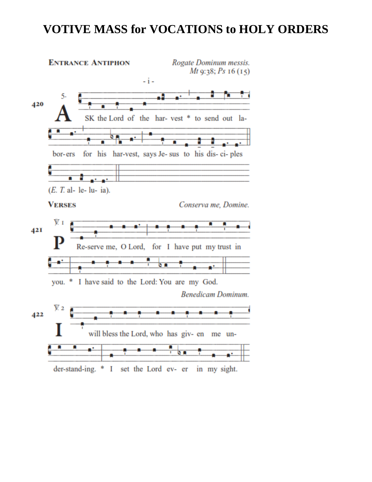## **VOTIVE MASS for VOCATIONS to HOLY ORDERS**

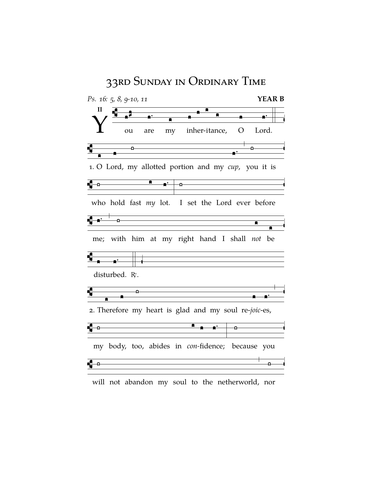

will not abandon my soul to the netherworld, nor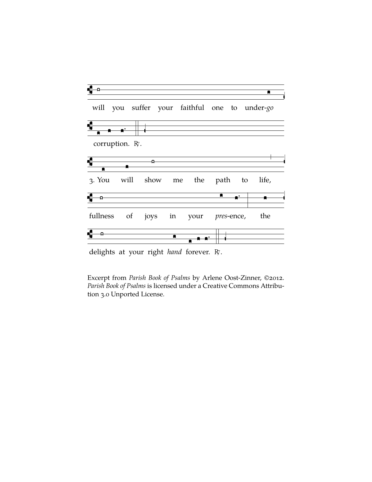

delights at your right *hand* forever. R.

Excerpt from *Parish Book of Psalms* by Arlene Oost-Zinner, ©2012. *Parish Book of Psalms* is licensed under a Creative Commons Attribution 3.0 Unported License.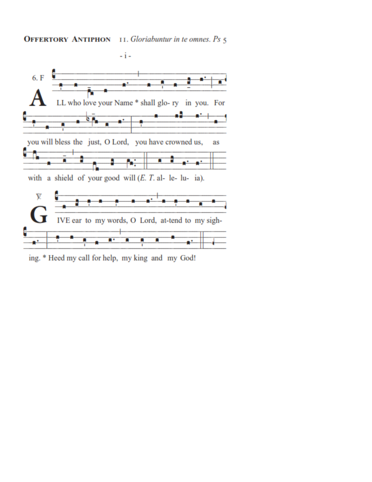## **OFFERTORY ANTIPHON** 11. Gloriabuntur in te omnes. Ps 5



ing. \* Heed my call for help, my king and my God!